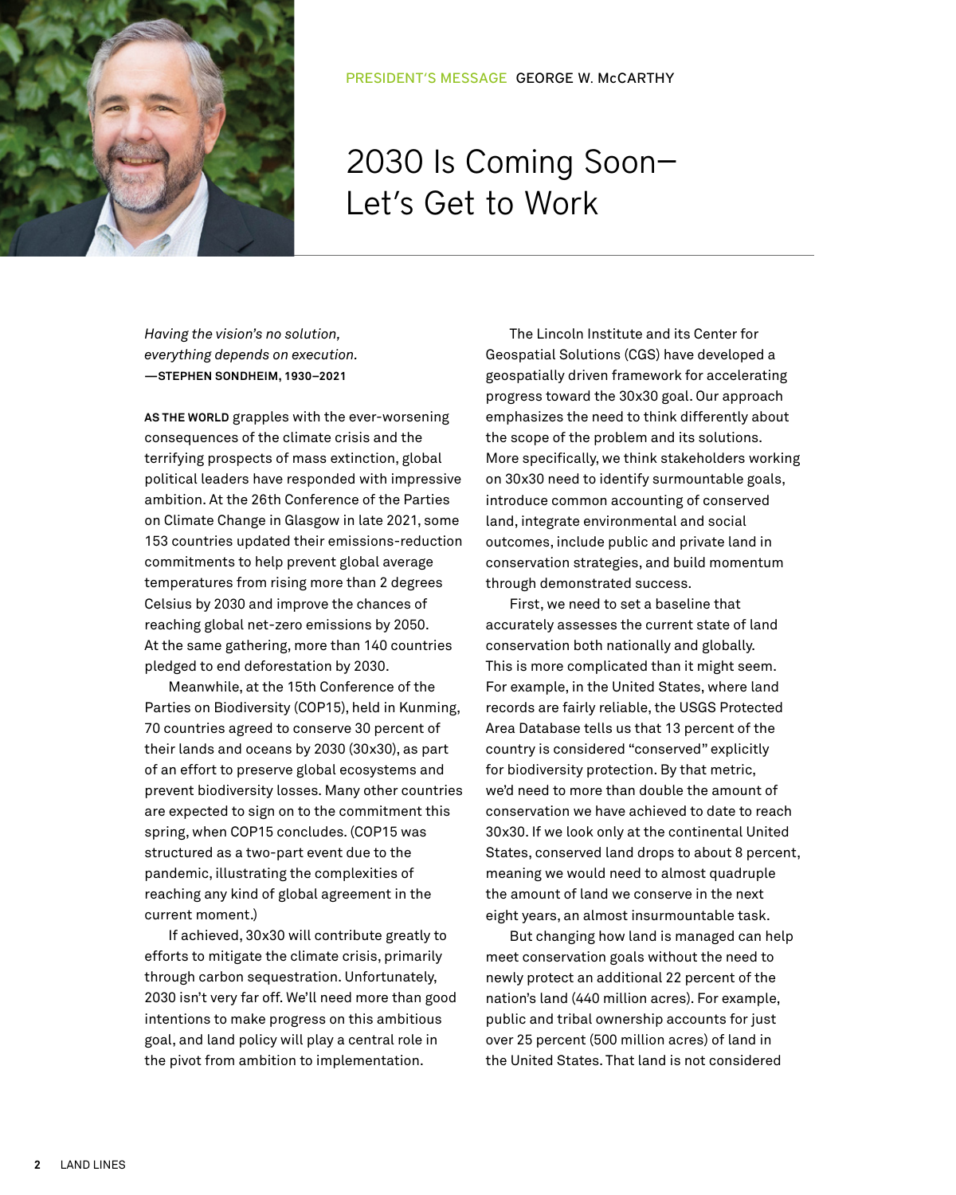

## 2030 Is Coming Soon— Let's Get to Work

*Having the vision's no solution, everything depends on execution.* **—STEPHEN SONDHEIM, 1930–2021**

**AS THE WORLD** grapples with the ever-worsening consequences of the climate crisis and the terrifying prospects of mass extinction, global political leaders have responded with impressive ambition. At the 26th Conference of the Parties on Climate Change in Glasgow in late 2021, some 153 countries updated their emissions-reduction commitments to help prevent global average temperatures from rising more than 2 degrees Celsius by 2030 and improve the chances of reaching global net-zero emissions by 2050. At the same gathering, more than 140 countries pledged to end deforestation by 2030.

Meanwhile, at the 15th Conference of the Parties on Biodiversity (COP15), held in Kunming, 70 countries agreed to conserve 30 percent of their lands and oceans by 2030 (30x30), as part of an effort to preserve global ecosystems and prevent biodiversity losses. Many other countries are expected to sign on to the commitment this spring, when COP15 concludes. (COP15 was structured as a two-part event due to the pandemic, illustrating the complexities of reaching any kind of global agreement in the current moment.)

If achieved, 30x30 will contribute greatly to efforts to mitigate the climate crisis, primarily through carbon sequestration. Unfortunately, 2030 isn't very far off. We'll need more than good intentions to make progress on this ambitious goal, and land policy will play a central role in the pivot from ambition to implementation.

The Lincoln Institute and its Center for Geospatial Solutions (CGS) have developed a geospatially driven framework for accelerating progress toward the 30x30 goal. Our approach emphasizes the need to think differently about the scope of the problem and its solutions. More specifically, we think stakeholders working on 30x30 need to identify surmountable goals, introduce common accounting of conserved land, integrate environmental and social outcomes, include public and private land in conservation strategies, and build momentum through demonstrated success.

First, we need to set a baseline that accurately assesses the current state of land conservation both nationally and globally. This is more complicated than it might seem. For example, in the United States, where land records are fairly reliable, the USGS Protected Area Database tells us that 13 percent of the country is considered "conserved" explicitly for biodiversity protection. By that metric, we'd need to more than double the amount of conservation we have achieved to date to reach 30x30. If we look only at the continental United States, conserved land drops to about 8 percent, meaning we would need to almost quadruple the amount of land we conserve in the next eight years, an almost insurmountable task.

But changing how land is managed can help meet conservation goals without the need to newly protect an additional 22 percent of the nation's land (440 million acres). For example, public and tribal ownership accounts for just over 25 percent (500 million acres) of land in the United States. That land is not considered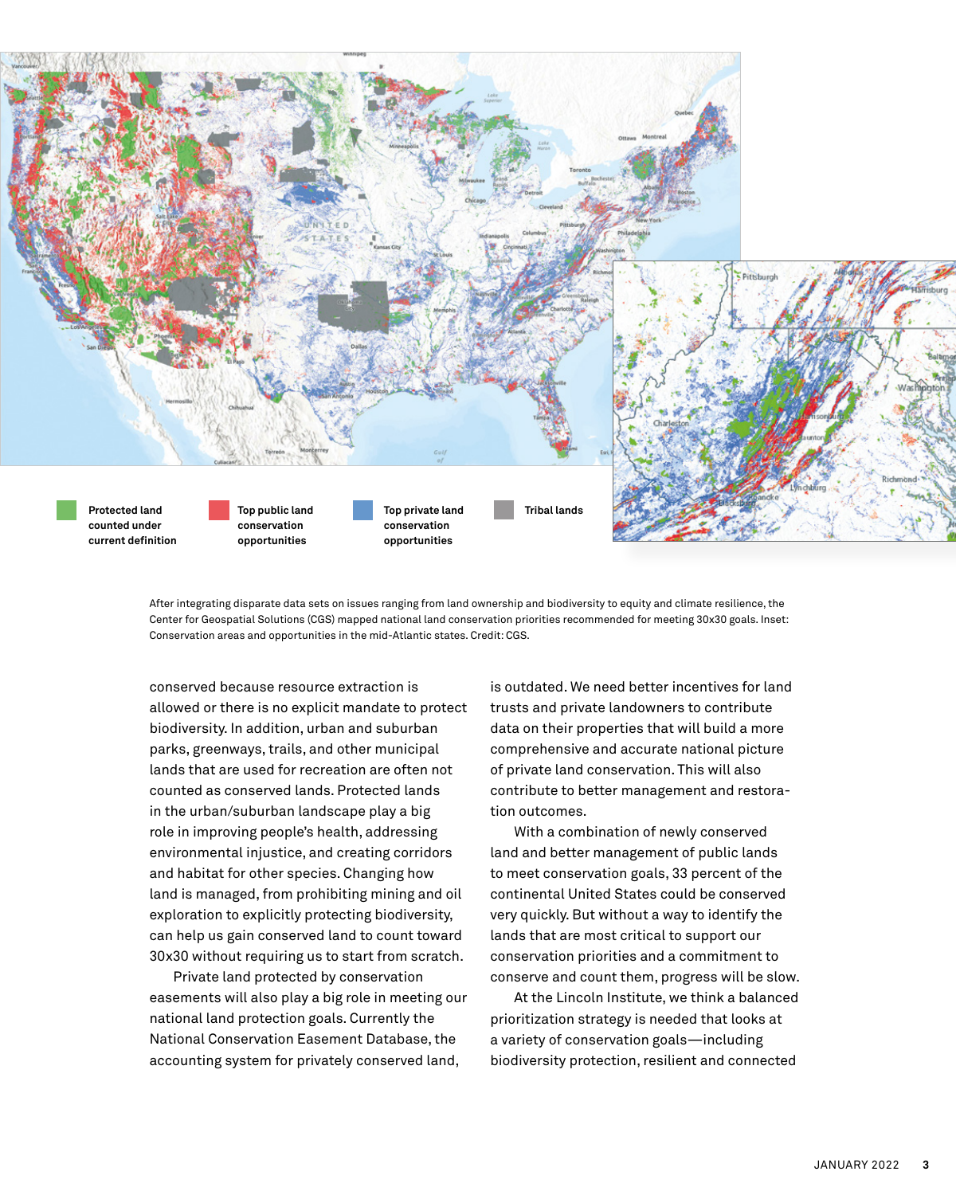

After integrating disparate data sets on issues ranging from land ownership and biodiversity to equity and climate resilience, the Center for Geospatial Solutions (CGS) mapped national land conservation priorities recommended for meeting 30x30 goals. Inset: Conservation areas and opportunities in the mid-Atlantic states. Credit: CGS.

conserved because resource extraction is allowed or there is no explicit mandate to protect biodiversity. In addition, urban and suburban parks, greenways, trails, and other municipal lands that are used for recreation are often not counted as conserved lands. Protected lands in the urban/suburban landscape play a big role in improving people's health, addressing environmental injustice, and creating corridors and habitat for other species. Changing how land is managed, from prohibiting mining and oil exploration to explicitly protecting biodiversity, can help us gain conserved land to count toward 30x30 without requiring us to start from scratch.

Private land protected by conservation easements will also play a big role in meeting our national land protection goals. Currently the National Conservation Easement Database, the accounting system for privately conserved land,

is outdated. We need better incentives for land trusts and private landowners to contribute data on their properties that will build a more comprehensive and accurate national picture of private land conservation. This will also contribute to better management and restoration outcomes.

With a combination of newly conserved land and better management of public lands to meet conservation goals, 33 percent of the continental United States could be conserved very quickly. But without a way to identify the lands that are most critical to support our conservation priorities and a commitment to conserve and count them, progress will be slow.

At the Lincoln Institute, we think a balanced prioritization strategy is needed that looks at a variety of conservation goals—including biodiversity protection, resilient and connected